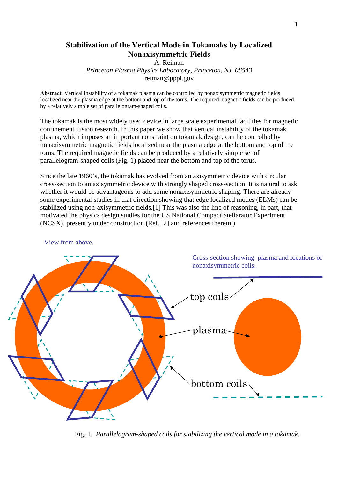## **Stabilization of the Vertical Mode in Tokamaks by Localized Nonaxisymmetric Fields**

A. Reiman

*Princeton Plasma Physics Laboratory, Princeton, NJ 08543*  reiman@pppl.gov

**Abstract.** Vertical instability of a tokamak plasma can be controlled by nonaxisymmetric magnetic fields localized near the plasma edge at the bottom and top of the torus. The required magnetic fields can be produced by a relatively simple set of parallelogram-shaped coils.

The tokamak is the most widely used device in large scale experimental facilities for magnetic confinement fusion research. In this paper we show that vertical instability of the tokamak plasma, which imposes an important constraint on tokamak design, can be controlled by nonaxisymmetric magnetic fields localized near the plasma edge at the bottom and top of the torus. The required magnetic fields can be produced by a relatively simple set of parallelogram-shaped coils (Fig. 1) placed near the bottom and top of the torus.

Since the late 1960's, the tokamak has evolved from an axisymmetric device with circular cross-section to an axisymmetric device with strongly shaped cross-section. It is natural to ask whether it would be advantageous to add some nonaxisymmetric shaping. There are already some experimental studies in that direction showing that edge localized modes (ELMs) can be stabilized using non-axisymmetric fields.[1] This was also the line of reasoning, in part, that motivated the physics design studies for the US National Compact Stellarator Experiment (NCSX), presently under construction.(Ref. [2] and references therein.)



View from above.

Fig. 1. *Parallelogram-shaped coils for stabilizing the vertical mode in a tokamak.*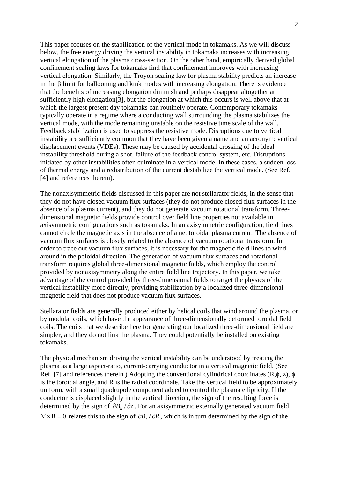This paper focuses on the stabilization of the vertical mode in tokamaks. As we will discuss below, the free energy driving the vertical instability in tokamaks increases with increasing vertical elongation of the plasma cross-section. On the other hand, empirically derived global confinement scaling laws for tokamaks find that confinement improves with increasing vertical elongation. Similarly, the Troyon scaling law for plasma stability predicts an increase in the β limit for ballooning and kink modes with increasing elongation. There is evidence that the benefits of increasing elongation diminish and perhaps disappear altogether at sufficiently high elongation[3], but the elongation at which this occurs is well above that at which the largest present day tokamaks can routinely operate. Contemporary tokamaks typically operate in a regime where a conducting wall surrounding the plasma stabilizes the vertical mode, with the mode remaining unstable on the resistive time scale of the wall. Feedback stabilization is used to suppress the resistive mode. Disruptions due to vertical instability are sufficiently common that they have been given a name and an acronym: vertical displacement events (VDEs). These may be caused by accidental crossing of the ideal instability threshold during a shot, failure of the feedback control system, etc. Disruptions initiated by other instabilities often culminate in a vertical mode. In these cases, a sudden loss of thermal energy and a redistribution of the current destabilize the vertical mode. (See Ref. [4] and references therein).

The nonaxisymmetric fields discussed in this paper are not stellarator fields, in the sense that they do not have closed vacuum flux surfaces (they do not produce closed flux surfaces in the absence of a plasma current), and they do not generate vacuum rotational transform. Threedimensional magnetic fields provide control over field line properties not available in axisymmetric configurations such as tokamaks. In an axisymmetric configuration, field lines cannot circle the magnetic axis in the absence of a net toroidal plasma current. The absence of vacuum flux surfaces is closely related to the absence of vacuum rotational transform. In order to trace out vacuum flux surfaces, it is necessary for the magnetic field lines to wind around in the poloidal direction. The generation of vacuum flux surfaces and rotational transform requires global three-dimensional magnetic fields, which employ the control provided by nonaxisymmetry along the entire field line trajectory. In this paper, we take advantage of the control provided by three-dimensional fields to target the physics of the vertical instability more directly, providing stabilization by a localized three-dimensional magnetic field that does not produce vacuum flux surfaces.

Stellarator fields are generally produced either by helical coils that wind around the plasma, or by modular coils, which have the appearance of three-dimensionally deformed toroidal field coils. The coils that we describe here for generating our localized three-dimensional field are simpler, and they do not link the plasma. They could potentially be installed on existing tokamaks.

The physical mechanism driving the vertical instability can be understood by treating the plasma as a large aspect-ratio, current-carrying conductor in a vertical magnetic field. (See Ref. [7] and references therein.) Adopting the conventional cylindrical coordinates  $(R, \phi, z)$ ,  $\phi$ is the toroidal angle, and R is the radial coordinate. Take the vertical field to be approximately uniform, with a small quadrupole component added to control the plasma ellipticity. If the conductor is displaced slightly in the vertical direction, the sign of the resulting force is determined by the sign of  $\partial B$ <sub>*n</sub>* /  $\partial z$ . For an axisymmetric externally generated vacuum field,</sub>  $\nabla \times \mathbf{B} = 0$  relates this to the sign of  $\partial B_z / \partial R$ , which is in turn determined by the sign of the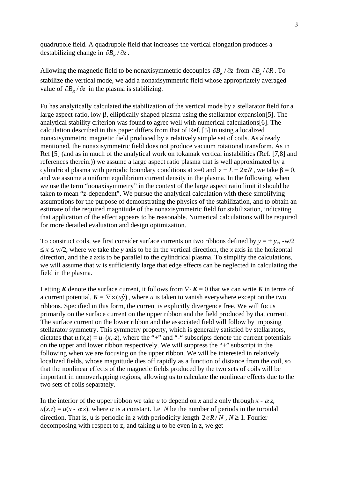quadrupole field. A quadrupole field that increases the vertical elongation produces a destabilizing change in  $\partial B_R / \partial z$ .

Allowing the magnetic field to be nonaxisymmetric decouples  $\partial B_R / \partial z$  from  $\partial B_z / \partial R$ . To stabilize the vertical mode, we add a nonaxisymmetric field whose appropriately averaged value of  $\partial B_R / \partial z$  in the plasma is stabilizing.

Fu has analytically calculated the stabilization of the vertical mode by a stellarator field for a large aspect-ratio, low β, elliptically shaped plasma using the stellarator expansion[5]. The analytical stability criterion was found to agree well with numerical calculations[6]. The calculation described in this paper differs from that of Ref. [5] in using a localized nonaxisymmetric magnetic field produced by a relatively simple set of coils. As already mentioned, the nonaxisymmetric field does not produce vacuum rotational transform. As in Ref [5] (and as in much of the analytical work on tokamak vertical instabilities (Ref. [7,8] and references therein.)) we assume a large aspect ratio plasma that is well approximated by a cylindrical plasma with periodic boundary conditions at  $z=0$  and  $z=L = 2\pi R$ , we take  $\beta = 0$ , and we assume a uniform equilibrium current density in the plasma. In the following, when we use the term "nonaxisymmetry" in the context of the large aspect ratio limit it should be taken to mean "z-dependent". We pursue the analytical calculation with these simplifying assumptions for the purpose of demonstrating the physics of the stabilization, and to obtain an estimate of the required magnitude of the nonaxisymmetric field for stabilization, indicating that application of the effect appears to be reasonable. Numerical calculations will be required for more detailed evaluation and design optimization.

To construct coils, we first consider surface currents on two ribbons defined by  $y = \pm y_c$ ,  $-w/2$  $\leq x \leq w/2$ , where we take the *y* axis to be in the vertical direction, the *x* axis in the horizontal direction, and the *z* axis to be parallel to the cylindrical plasma. To simplify the calculations, we will assume that w is sufficiently large that edge effects can be neglected in calculating the field in the plasma.

Letting *K* denote the surface current, it follows from  $\nabla \cdot K = 0$  that we can write *K* in terms of a current potential,  $K = \nabla \times (u\hat{y})$ , where *u* is taken to vanish everywhere except on the two ribbons. Specified in this form, the current is explicitly divergence free. We will focus primarily on the surface current on the upper ribbon and the field produced by that current. The surface current on the lower ribbon and the associated field will follow by imposing stellarator symmetry. This symmetry property, which is generally satisfied by stellarators, dictates that  $u(x,z) = u_+(x,-z)$ , where the "+" and "-" subscripts denote the current potentials on the upper and lower ribbon respectively. We will suppress the "+" subscript in the following when we are focusing on the upper ribbon. We will be interested in relatively localized fields, whose magnitude dies off rapidly as a function of distance from the coil, so that the nonlinear effects of the magnetic fields produced by the two sets of coils will be important in nonoverlapping regions, allowing us to calculate the nonlinear effects due to the two sets of coils separately.

In the interior of the upper ribbon we take *u* to depend on *x* and *z* only through  $x - \alpha z$ ,  $u(x,z) = u(x - \alpha z)$ , where  $\alpha$  is a constant. Let *N* be the number of periods in the toroidal direction. That is, u is periodic in z with periodicity length  $2\pi R / N$ ,  $N \ge 1$ . Fourier decomposing with respect to z, and taking *u* to be even in z, we get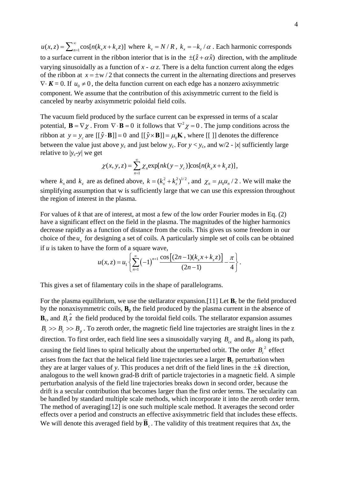$u(x, z) = \sum_{n=1}^{\infty} \cos[n(k_x x + k_z z)]$  where  $k_z = N/R$ ,  $k_x = -k_z/\alpha$ . Each harmonic corresponds to a surface current in the ribbon interior that is in the  $\pm(\hat{z} + \alpha \hat{x})$  direction, with the amplitude varying sinusoidally as a function of  $x - \alpha z$ . There is a delta function current along the edges of the ribbon at  $x = \pm w/2$  that connects the current in the alternating directions and preserves  $\nabla \cdot \mathbf{K} = 0$ . If  $u_0 \neq 0$ , the delta function current on each edge has a nonzero axisymmetric component. We assume that the contribution of this axisymmetric current to the field is canceled by nearby axisymmetric poloidal field coils.

The vacuum field produced by the surface current can be expressed in terms of a scalar potential,  $\mathbf{B} = \nabla \chi$ . From  $\nabla \cdot \mathbf{B} = 0$  it follows that  $\nabla^2 \chi = 0$ . The jump conditions across the ribbon at  $y = y_a$  are  $[(\hat{y} \cdot \mathbf{B}]] = 0$  and  $[(\hat{y} \times \mathbf{B}]] = \mu_a \mathbf{K}$ , where  $[[ \; ]]$  denotes the difference between the value just above  $y_c$  and just below  $y_c$ . For  $y < y_c$ , and  $w/2 - |x|$  sufficiently large relative to  $|y_c - y|$  we get

$$
\chi(x, y, z) = \sum_{n=1}^{\infty} \chi_n \exp[nk(y - y_c)] \cos[n(k_x x + k_z z)],
$$

where  $k_x$  and  $k_z$  are as defined above,  $k = (k_x^2 + k_z^2)^{1/2}$ , and  $\chi_n = \mu_0 u_n / 2$ . We will make the simplifying assumption that w is sufficiently large that we can use this expression throughout the region of interest in the plasma.

For values of *k* that are of interest, at most a few of the low order Fourier modes in Eq. (2) have a significant effect on the field in the plasma. The magnitudes of the higher harmonics decrease rapidly as a function of distance from the coils. This gives us some freedom in our choice of the  $u_n$  for designing a set of coils. A particularly simple set of coils can be obtained if *u* is taken to have the form of a square wave,

$$
u(x,z) = u_1 \left\{ \sum_{n=1}^{\infty} (-1)^{n+1} \frac{\cos[(2n-1)(k_x x + k_z z)]}{(2n-1)} - \frac{\pi}{4} \right\}.
$$

This gives a set of filamentary coils in the shape of parallelograms.

For the plasma equilibrium, we use the stellarator expansion.[11] Let  $\mathbf{B}_c$  be the field produced by the nonaxisymmetric coils,  $\mathbf{B}_p$  the field produced by the plasma current in the absence of  $\mathbf{B}_c$ , and  $B_t \hat{z}$  the field produced by the toroidal field coils. The stellarator expansion assumes  $B_t \gg B_c \gg B_n$ . To zeroth order, the magnetic field line trajectories are straight lines in the z direction. To first order, each field line sees a sinusoidally varying  $B<sub>cr</sub>$  and  $B<sub>cy</sub>$  along its path, causing the field lines to spiral helically about the unperturbed orbit. The order  $B_c^2$  effect arises from the fact that the helical field line trajectories see a larger  $\mathbf{B}_c$  perturbation when they are at larger values of *y*. This produces a net drift of the field lines in the  $\pm \hat{x}$  direction, analogous to the well known grad-B drift of particle trajectories in a magnetic field. A simple perturbation analysis of the field line trajectories breaks down in second order, because the drift is a secular contribution that becomes larger than the first order terms. The secularity can be handled by standard multiple scale methods, which incorporate it into the zeroth order term. The method of averaging[12] is one such multiple scale method. It averages the second order effects over a period and constructs an effective axisymmetric field that includes these effects. We will denote this averaged field by  $\overline{\mathbf{B}}_c$ . The validity of this treatment requires that  $\Delta x$ , the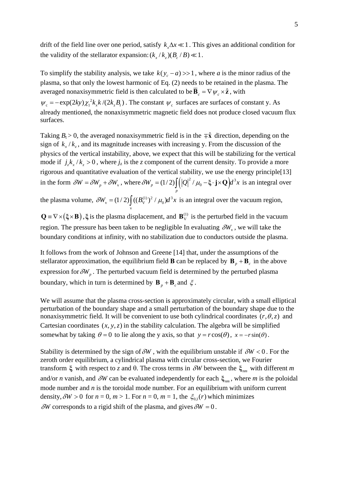drift of the field line over one period, satisfy  $k \Delta x \ll 1$ . This gives an additional condition for the validity of the stellarator expansion:  $(k_x / k_y)(B_x / B) \ll 1$ .

To simplify the stability analysis, we take  $k(y_c - a) \gg 1$ , where *a* is the minor radius of the plasma, so that only the lowest harmonic of Eq. (2) needs to be retained in the plasma. The averaged nonaxisymmetric field is then calculated to be  $\overline{\mathbf{B}}_c = \nabla \psi_c \times \hat{\mathbf{z}}$ , with

 $\psi_c = -\exp(2ky) \chi_1^2 k_x k / (2k_z B_t)$ . The constant  $\psi_c$  surfaces are surfaces of constant y. As already mentioned, the nonaxisymmetric magnetic field does not produce closed vacuum flux surfaces.

Taking  $B_t > 0$ , the averaged nonaxisymmetric field is in the  $\bar{x}$ <sup> $\hat{x}$ </sup> direction, depending on the sign of  $k_x / k_z$ , and its magnitude increases with increasing y. From the discussion of the physics of the vertical instability, above, we expect that this will be stabilizing for the vertical mode if  $j_z k_x / k_z > 0$ , where  $j_z$  is the *z* component of the current density. To provide a more rigorous and quantitative evaluation of the vertical stability, we use the energy principle[13] in the form  $\delta W = \delta W_p + \delta W_v$ , where  $\delta W_p = (1/2) \int (|\mathcal{Q}|^2 / \mu_0 - \xi \cdot \mathbf{j} \times \mathbf{Q}) d^3$  $\delta W_p = (1/2) \int_R (|Q|^2 / \mu_0 - \xi \cdot \mathbf{j} \times \mathbf{Q}) d^3x$  is an integral over

the plasma volume,  $\delta W_{v} = (1/2) \int ((B_{v}^{(1)})^{2} / \mu_{0}) d^{3}$  $\delta W_{v} = (1/2) \int_{v} ((B_{v}^{(1)})^{2} / \mu_{0}) d^{3}x$  is an integral over the vacuum region,

 $\mathbf{Q} = \nabla \times (\mathbf{\xi} \times \mathbf{B})$ ,  $\mathbf{\xi}$  is the plasma displacement, and  $\mathbf{B}_{V}^{(1)}$  is the perturbed field in the vacuum region. The pressure has been taken to be negligible In evaluating  $\delta W_{\nu}$ , we will take the boundary conditions at infinity, with no stabilization due to conductors outside the plasma.

It follows from the work of Johnson and Greene [14] that, under the assumptions of the stellarator approximation, the equilibrium field **B** can be replaced by  $\mathbf{B}_p + \mathbf{B}_c$  in the above expression for  $\delta W_p$ . The perturbed vacuum field is determined by the perturbed plasma boundary, which in turn is determined by  $\mathbf{B}_n + \mathbf{B}_c$  and  $\xi$ .

We will assume that the plasma cross-section is approximately circular, with a small elliptical perturbation of the boundary shape and a small perturbation of the boundary shape due to the nonaxisymmetric field. It will be convenient to use both cylindrical coordinates  $(r, \theta, z)$  and Cartesian coordinates  $(x, y, z)$  in the stability calculation. The algebra will be simplified somewhat by taking  $\theta = 0$  to lie along the y axis, so that  $y = r \cos(\theta)$ ,  $x = -r \sin(\theta)$ .

Stability is determined by the sign of  $\delta W$ , with the equilibrium unstable if  $\delta W < 0$ . For the zeroth order equilibrium, a cylindrical plasma with circular cross-section, we Fourier transform  $\xi$  with respect to *z* and θ. The cross terms in *δW* between the  $\xi$ <sub>nm</sub> with different *m* and/or *n* vanish, and  $\delta W$  can be evaluated independently for each  $\xi_{nm}$ , where *m* is the poloidal mode number and *n* is the toroidal mode number. For an equilibrium with uniform current density,  $\delta W > 0$  for  $n = 0, m > 1$ . For  $n = 0, m = 1$ , the  $\xi_{0,1}(r)$  which minimizes  $\delta W$  corresponds to a rigid shift of the plasma, and gives  $\delta W = 0$ .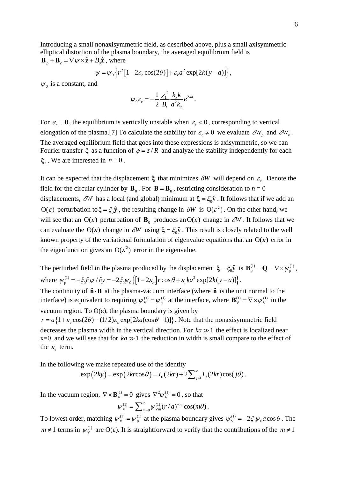Introducing a small nonaxisymmetric field, as described above, plus a small axisymmetric elliptical distortion of the plasma boundary, the averaged equilibrium field is  $\mathbf{B}_n + \mathbf{B}_c = \nabla \psi \times \hat{\mathbf{z}} + B_0 \hat{\mathbf{z}}$ , where

$$
\psi = \psi_0 \left\{ r^2 \left[ 1 - 2\varepsilon_e \cos(2\theta) \right] + \varepsilon_c a^2 \exp[2k(y-a)] \right\},\,
$$

 $\psi_0$  is a constant, and

$$
\psi_0 \varepsilon_{\rm c} = -\frac{1}{2} \frac{\chi_1^2}{B_t} \frac{k_x k}{a^2 k_z} e^{2ka}.
$$

For  $\varepsilon_c = 0$ , the equilibrium is vertically unstable when  $\varepsilon_c < 0$ , corresponding to vertical elongation of the plasma.[7] To calculate the stability for  $\varepsilon_c \neq 0$  we evaluate  $\delta W_p$  and  $\delta W_v$ . The averaged equilibrium field that goes into these expressions is axisymmetric, so we can Fourier transfer  $\xi$  as a function of  $\phi = z/R$  and analyze the stability independently for each  $\xi_n$ . We are interested in  $n = 0$ .

It can be expected that the displacement  $\xi$  that minimizes  $\delta W$  will depend on  $\varepsilon_c$ . Denote the field for the circular cylinder by  $\mathbf{B}_0$ . For  $\mathbf{B} = \mathbf{B}_0$ , restricting consideration to  $n = 0$ displacements,  $\delta W$  has a local (and global) minimum at  $\xi = \xi_0 \hat{y}$ . It follows that if we add an  $O(\varepsilon)$  perturbation to  $\xi = \xi_0 \hat{y}$ , the resulting change in  $\delta W$  is  $O(\varepsilon^2)$ . On the other hand, we will see that an  $O(\varepsilon)$  perturbation of  $\mathbf{B}_{0}$  produces an  $O(\varepsilon)$  change in  $\delta W$ . It follows that we can evaluate the  $O(\varepsilon)$  change in  $\delta W$  using  $\xi = \xi_0 \hat{y}$ . This result is closely related to the well known property of the variational formulation of eigenvalue equations that an  $O(\varepsilon)$  error in the eigenfunction gives an  $O(\varepsilon^2)$  error in the eigenvalue.

The perturbed field in the plasma produced by the displacement  $\xi = \xi_0 \hat{\mathbf{y}}$  is  $\mathbf{B}_{p}^{(1)} = \mathbf{Q} = \nabla \times \psi_p^{(1)}$ , where  $\psi_p^{(1)} = -\xi_0 \partial \psi / \partial y = -2\xi_0 \psi_0 \left\{ \left[ 1 - 2\varepsilon_e \right] r \cos \theta + \varepsilon_c k a^2 \exp[2k(y - a)] \right\}.$ 

The continuity of  $\hat{\mathbf{n}} \cdot \mathbf{B}$  at the plasma-vacuum interface (where  $\hat{\mathbf{n}}$  is the unit normal to the interface) is equivalent to requiring  $\psi_y^{(1)} = \psi_p^{(1)}$  at the interface, where  $\mathbf{B}_y^{(1)} = \nabla \times \psi_y^{(1)}$  in the vacuum region. To O(ε), the plasma boundary is given by

 $r = a\{1+\varepsilon \cos(2\theta) - (1/2)\varepsilon \cos(2\theta) - 2\kappa \cos(2\theta - 1)\}\.$  Note that the nonaxisymmetric field decreases the plasma width in the vertical direction. For  $ka \gg 1$  the effect is localized near  $x=0$ , and we will see that for  $ka \gg 1$  the reduction in width is small compare to the effect of the  $\varepsilon$  term.

In the following we make repeated use of the identity

$$
\exp(2ky) = \exp(2kr\cos\theta) = I_0(2kr) + 2\sum_{j=1}^{\infty} I_j(2kr)\cos(j\theta).
$$

In the vacuum region,  $\nabla \times \mathbf{B}_{V}^{(1)} = 0$  gives  $\nabla^2 \psi_{V}^{(1)} = 0$ , so that

$$
\psi_{\rm V}^{(1)} = \sum_{m=0}^{\infty} \psi_{\rm Vm}^{(1)}(r/a)^{-m} \cos(m\theta).
$$

To lowest order, matching  $\psi_y^{(1)} = \psi_p^{(1)}$  at the plasma boundary gives  $\psi_y^{(1)} = -2\xi_0\psi_0 a \cos\theta$ . The *m* ≠ 1 terms in  $\psi_{V}^{(1)}$  are O( $\varepsilon$ ). It is straightforward to verify that the contributions of the *m* ≠ 1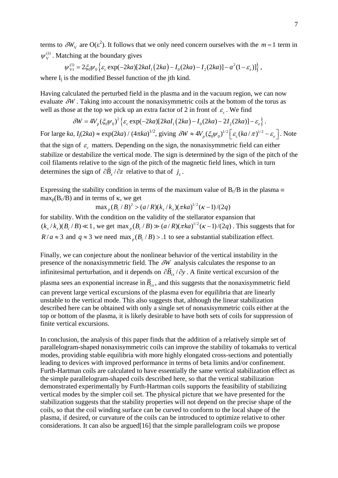terms to  $\delta W_{V}$  are O( $\varepsilon^{2}$ ). It follows that we only need concern ourselves with the  $m=1$  term in  $W_{V}^{(1)}$ . Matching at the boundary gives

$$
\psi_{\rm V1}^{(1)} = 2\xi_0 \psi_0 \left\{ \varepsilon_c \exp(-2ka) \left[ 2kaI_1(2ka) - I_0(2ka) - I_2(2ka) \right] - a^2(1-\varepsilon_c) \right\},\,
$$

where  $I_i$  is the modified Bessel function of the jth kind.

Having calculated the perturbed field in the plasma and in the vacuum region, we can now evaluate  $\delta W$ . Taking into account the nonaxisymmetric coils at the bottom of the torus as well as those at the top we pick up an extra factor of 2 in front of  $\varepsilon_c$ . We find

$$
\delta W = 4V_p(\xi_0\psi_0)^2 \left\{ \varepsilon_c \exp(-2ka)[2kaI_1(2ka) - I_0(2ka) - 2I_2(2ka)] - \varepsilon_e \right\}.
$$

For large *ka*,  $I_j(2ka) \approx \exp(2ka) / (4\pi ka)^{1/2}$ , giving  $\delta W \approx 4V_p (\xi_0 \psi_0)^{1/2} [\varepsilon_c (ka/\pi)^{1/2} - \varepsilon_e]$ . Note that the sign of  $\varepsilon_c$  matters. Depending on the sign, the nonaxisymmetric field can either stabilize or destabilize the vertical mode. The sign is determined by the sign of the pitch of the

coil filaments relative to the sign of the pitch of the magnetic field lines, which in turn determines the sign of  $\partial \overline{B}_x / \partial z$  relative to that of *j<sub>z</sub>*.

Expressing the stability condition in terms of the maximum value of  $B_c/B$  in the plasma  $\equiv$ max<sub>p</sub> $(B_c/B)$  and in terms of κ, we get

 $\max_{p} (B_c/B)^2 > (a/R)(k_r/k_r)(\pi ka)^{1/2}(\kappa-1)/(2q)$ 

for stability. With the condition on the validity of the stellarator expansion that  $(k_x / k_y)(B_x / B) \ll 1$ , we get max  $(B_x / B) \gg (a / R)(\pi k a)^{1/2}(\kappa - 1)/(2q)$ . This suggests that for  $R/a \approx 3$  and  $q \approx 3$  we need max  $(B/R) > 1$  to see a substantial stabilization effect.

Finally, we can conjecture about the nonlinear behavior of the vertical instability in the presence of the nonaxisymmetric field. The δ*W* analysis calculates the response to an infinitesimal perturbation, and it depends on  $\partial \overline{B}_{\alpha}/\partial y$ . A finite vertical excursion of the plasma sees an exponential increase in  $\overline{B}_{cr}$ , and this suggests that the nonaxisymmetric field can prevent large vertical excursions of the plasma even for equilibria that are linearly unstable to the vertical mode. This also suggests that, although the linear stabilization described here can be obtained with only a single set of nonaxisymmetric coils either at the top or bottom of the plasma, it is likely desirable to have both sets of coils for suppression of finite vertical excursions.

In conclusion, the analysis of this paper finds that the addition of a relatively simple set of parallelogram-shaped nonaxisymmetric coils can improve the stability of tokamaks to vertical modes, providing stable equilibria with more highly elongated cross-sections and potentially leading to devices with improved performance in terms of beta limits and/or confinement. Furth-Hartman coils are calculated to have essentially the same vertical stabilization effect as the simple parallelogram-shaped coils described here, so that the vertical stabilization demonstrated experimentally by Furth-Hartman coils supports the feasibility of stabilizing vertical modes by the simpler coil set. The physical picture that we have presented for the stabilization suggests that the stability properties will not depend on the precise shape of the coils, so that the coil winding surface can be curved to conform to the local shape of the plasma, if desired, or curvature of the coils can be introduced to optimize relative to other considerations. It can also be argued[16] that the simple parallelogram coils we propose